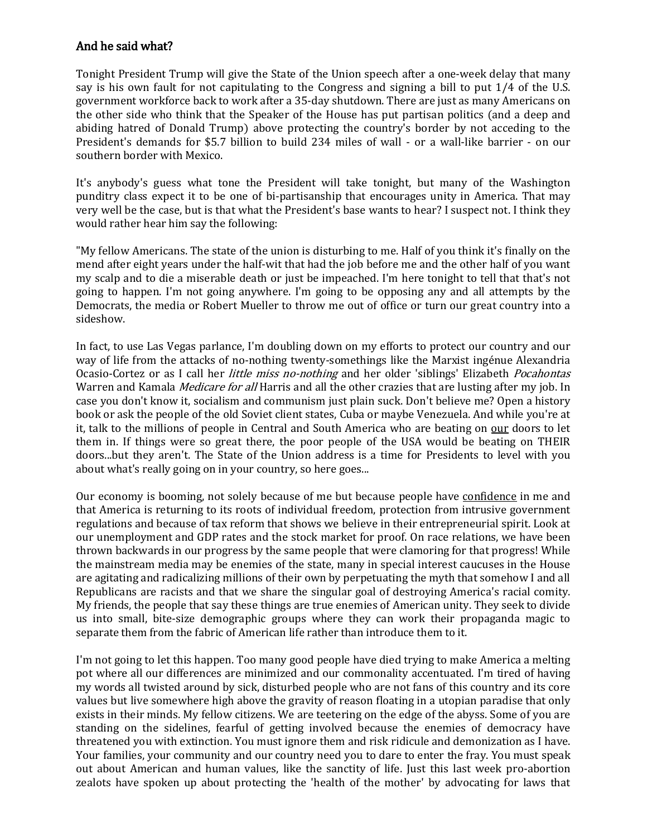## And he said what?

Tonight President Trump will give the State of the Union speech after a one-week delay that many say is his own fault for not capitulating to the Congress and signing a bill to put 1/4 of the U.S. government workforce back to work after a 35-day shutdown. There are just as many Americans on the other side who think that the Speaker of the House has put partisan politics (and a deep and abiding hatred of Donald Trump) above protecting the country's border by not acceding to the President's demands for \$5.7 billion to build 234 miles of wall - or a wall-like barrier - on our southern border with Mexico.

It's anybody's guess what tone the President will take tonight, but many of the Washington punditry class expect it to be one of bi-partisanship that encourages unity in America. That may very well be the case, but is that what the President's base wants to hear? I suspect not. I think they would rather hear him say the following:

"My fellow Americans. The state of the union is disturbing to me. Half of you think it's finally on the mend after eight years under the half-wit that had the job before me and the other half of you want my scalp and to die a miserable death or just be impeached. I'm here tonight to tell that that's not going to happen. I'm not going anywhere. I'm going to be opposing any and all attempts by the Democrats, the media or Robert Mueller to throw me out of office or turn our great country into a sideshow.

In fact, to use Las Vegas parlance, I'm doubling down on my efforts to protect our country and our way of life from the attacks of no-nothing twenty-somethings like the Marxist ingénue Alexandria Ocasio-Cortez or as I call her *little miss no-nothing* and her older 'siblings' Elizabeth *Pocahontas* Warren and Kamala *Medicare for all* Harris and all the other crazies that are lusting after my job. In case you don't know it, socialism and communism just plain suck. Don't believe me? Open a history book or ask the people of the old Soviet client states, Cuba or maybe Venezuela. And while you're at it, talk to the millions of people in Central and South America who are beating on our doors to let them in. If things were so great there, the poor people of the USA would be beating on THEIR doors...but they aren't. The State of the Union address is a time for Presidents to level with you about what's really going on in your country, so here goes...

Our economy is booming, not solely because of me but because people have confidence in me and that America is returning to its roots of individual freedom, protection from intrusive government regulations and because of tax reform that shows we believe in their entrepreneurial spirit. Look at our unemployment and GDP rates and the stock market for proof. On race relations, we have been thrown backwards in our progress by the same people that were clamoring for that progress! While the mainstream media may be enemies of the state, many in special interest caucuses in the House are agitating and radicalizing millions of their own by perpetuating the myth that somehow I and all Republicans are racists and that we share the singular goal of destroying America's racial comity. My friends, the people that say these things are true enemies of American unity. They seek to divide us into small, bite-size demographic groups where they can work their propaganda magic to separate them from the fabric of American life rather than introduce them to it.

I'm not going to let this happen. Too many good people have died trying to make America a melting pot where all our differences are minimized and our commonality accentuated. I'm tired of having my words all twisted around by sick, disturbed people who are not fans of this country and its core values but live somewhere high above the gravity of reason floating in a utopian paradise that only exists in their minds. My fellow citizens. We are teetering on the edge of the abyss. Some of you are standing on the sidelines, fearful of getting involved because the enemies of democracy have threatened you with extinction. You must ignore them and risk ridicule and demonization as I have. Your families, your community and our country need you to dare to enter the fray. You must speak out about American and human values, like the sanctity of life. Just this last week pro-abortion zealots have spoken up about protecting the 'health of the mother' by advocating for laws that